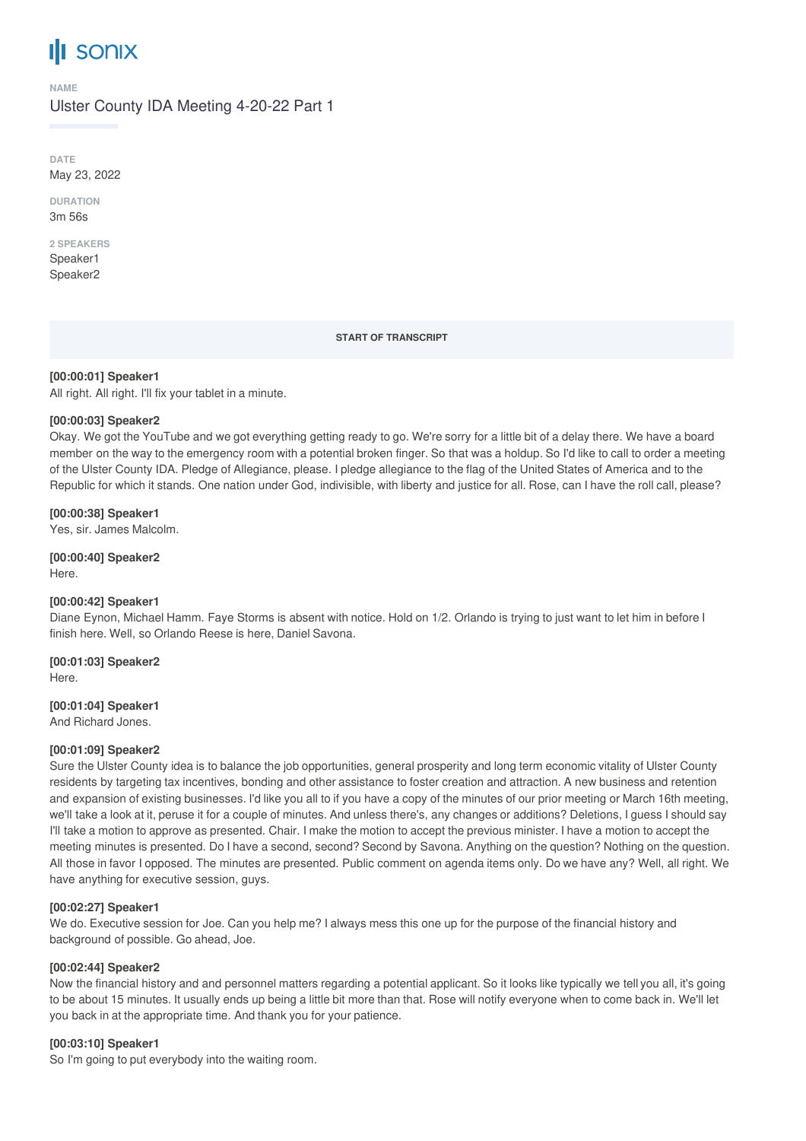# **SONIX**

#### **NAME**

Ulster County IDA Meeting 4-20-22 Part 1

**DATE** May 23, 2022

**DURATION** 3m 56s

**2 SPEAKERS**

Speaker1 Speaker2

**START OF TRANSCRIPT**

**[00:00:01] Speaker1**

All right. All right. I'll fix your tablet in a minute.

## **[00:00:03] Speaker2**

Okay. We got the YouTube and we got everything getting ready to go. We're sorry for a little bit of a delay there. We have a board member on the way to the emergency room with a potential broken finger. So that was a holdup. So I'd like to call to order a meeting of the Ulster County IDA. Pledge of Allegiance, please. I pledge allegiance to the flag of the United States of America and to the Republic for which it stands. One nation under God, indivisible, with liberty and justice for all. Rose, can I have the roll call, please?

## **[00:00:38] Speaker1**

Yes, sir. James Malcolm.

**[00:00:40] Speaker2** Here.

## **[00:00:42] Speaker1**

Diane Eynon, Michael Hamm. Faye Storms is absent with notice. Hold on 1/2. Orlando is trying to just want to let him in before I finish here. Well, so Orlando Reese is here, Daniel Savona.

**[00:01:03] Speaker2** Here.

**[00:01:04] Speaker1**

And Richard Jones.

## **[00:01:09] Speaker2**

Sure the Ulster County idea is to balance the job opportunities, general prosperity and long term economic vitality of Ulster County residents by targeting tax incentives, bonding and other assistance to foster creation and attraction. A new business and retention and expansion of existing businesses. I'd like you all to if you have a copy of the minutes of our prior meeting or March 16th meeting, we'll take a look at it, peruse it for a couple of minutes. And unless there's, any changes or additions? Deletions, I guess I should say I'll take a motion to approve as presented. Chair. I make the motion to accept the previous minister. I have a motion to accept the meeting minutes is presented. Do I have a second, second? Second by Savona. Anything on the question? Nothing on the question. All those in favor I opposed. The minutes are presented. Public comment on agenda items only. Do we have any? Well, all right. We have anything for executive session, guys.

## **[00:02:27] Speaker1**

We do. Executive session for Joe. Can you help me? I always mess this one up for the purpose of the financial history and background of possible. Go ahead, Joe.

## **[00:02:44] Speaker2**

Now the financial history and and personnel matters regarding a potential applicant. So it looks like typically we tell you all, it's going to be about 15 minutes. It usually ends up being a little bit more than that. Rose will notify everyone when to come back in. We'll let you back in at the appropriate time. And thank you for your patience.

## **[00:03:10] Speaker1**

So I'm going to put everybody into the waiting room.